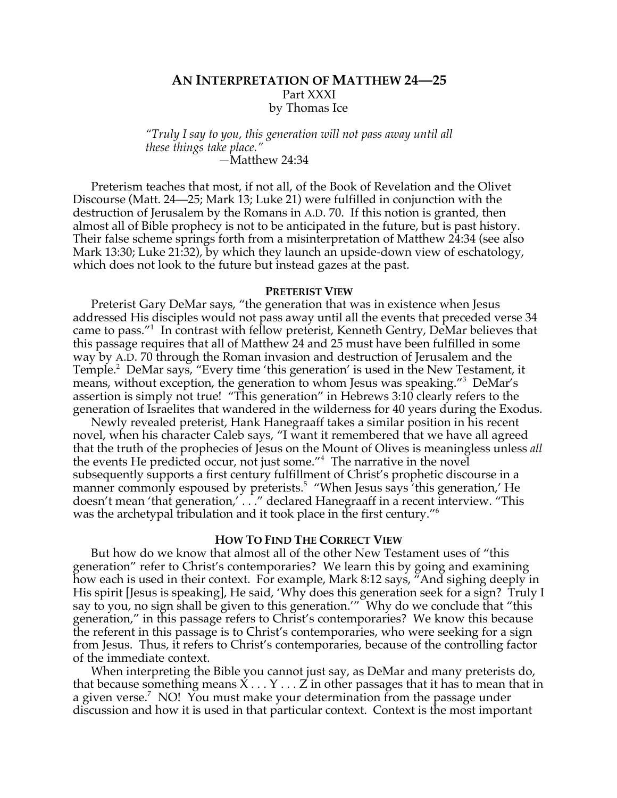# **AN INTERPRETATION OF MATTHEW 24—25** Part XXXI by Thomas Ice

*"Truly I say to you, this generation will not pass away until all these things take place." —*Matthew 24:34

Preterism teaches that most, if not all, of the Book of Revelation and the Olivet Discourse (Matt. 24—25; Mark 13; Luke 21) were fulfilled in conjunction with the destruction of Jerusalem by the Romans in A.D. 70. If this notion is granted, then almost all of Bible prophecy is not to be anticipated in the future, but is past history. Their false scheme springs forth from a misinterpretation of Matthew 24:34 (see also Mark 13:30; Luke 21:32), by which they launch an upside-down view of eschatology, which does not look to the future but instead gazes at the past.

#### **PRETERIST VIEW**

Preterist Gary DeMar says, "the generation that was in existence when Jesus addressed His disciples would not pass away until all the events that preceded verse 34 came to pass."1 In contrast with fellow preterist, Kenneth Gentry, DeMar believes that this passage requires that all of Matthew 24 and 25 must have been fulfilled in some way by A.D. 70 through the Roman invasion and destruction of Jerusalem and the Temple.<sup>2</sup> DeMar says, "Every time 'this generation' is used in the New Testament, it means, without exception, the generation to whom Jesus was speaking."<sup>3</sup> DeMar's assertion is simply not true! "This generation" in Hebrews 3:10 clearly refers to the generation of Israelites that wandered in the wilderness for 40 years during the Exodus.

Newly revealed preterist, Hank Hanegraaff takes a similar position in his recent novel, when his character Caleb says, "I want it remembered that we have all agreed that the truth of the prophecies of Jesus on the Mount of Olives is meaningless unless *all* the events He predicted occur, not just some."4 The narrative in the novel subsequently supports a first century fulfillment of Christ's prophetic discourse in a manner commonly espoused by preterists.<sup>5</sup> "When Jesus says this generation,' He doesn't mean 'that generation,' . . ." declared Hanegraaff in a recent interview. "This was the archetypal tribulation and it took place in the first century."<sup>6</sup>

### **HOW TO FIND THE CORRECT VIEW**

But how do we know that almost all of the other New Testament uses of "this generation" refer to Christ's contemporaries? We learn this by going and examining how each is used in their context. For example, Mark 8:12 says, "And sighing deeply in His spirit [Jesus is speaking], He said, 'Why does this generation seek for a sign? Truly I say to you, no sign shall be given to this generation.'" Why do we conclude that "this generation," in this passage refers to Christ's contemporaries? We know this because the referent in this passage is to Christ's contemporaries, who were seeking for a sign from Jesus. Thus, it refers to Christ's contemporaries, because of the controlling factor of the immediate context.

When interpreting the Bible you cannot just say, as DeMar and many preterists do, that because something means  $X \dots Y \dots Z$  in other passages that it has to mean that in a given verse.<sup>7</sup> NO! You must make your determination from the passage under discussion and how it is used in that particular context. Context is the most important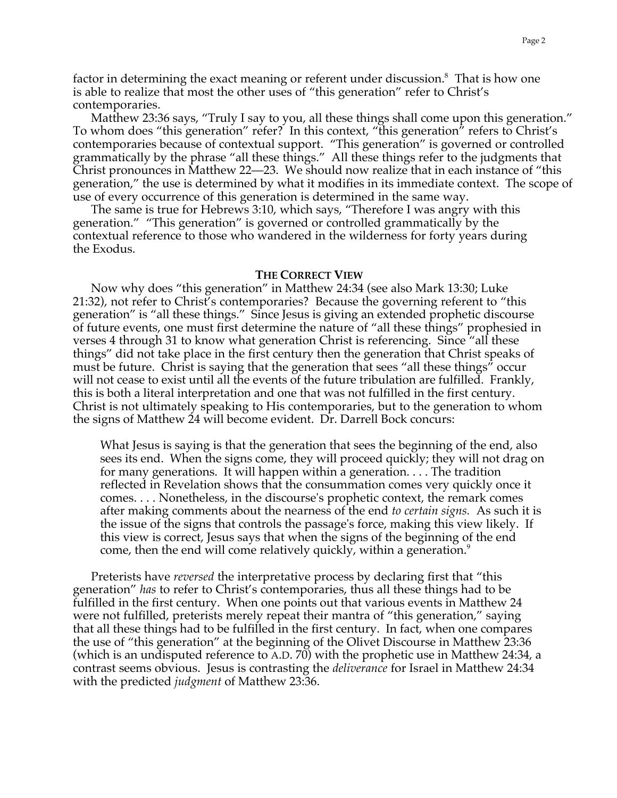factor in determining the exact meaning or referent under discussion. $^8$  That is how one is able to realize that most the other uses of "this generation" refer to Christ's contemporaries.

Matthew 23:36 says, "Truly I say to you, all these things shall come upon this generation." To whom does "this generation" refer? In this context, "this generation" refers to Christ's contemporaries because of contextual support. "This generation" is governed or controlled grammatically by the phrase "all these things." All these things refer to the judgments that Christ pronounces in Matthew 22—23. We should now realize that in each instance of "this generation," the use is determined by what it modifies in its immediate context. The scope of use of every occurrence of this generation is determined in the same way.

The same is true for Hebrews 3:10, which says, "Therefore I was angry with this generation." "This generation" is governed or controlled grammatically by the contextual reference to those who wandered in the wilderness for forty years during the Exodus.

### **THE CORRECT VIEW**

Now why does "this generation" in Matthew 24:34 (see also Mark 13:30; Luke 21:32), not refer to Christ's contemporaries? Because the governing referent to "this generation" is "all these things." Since Jesus is giving an extended prophetic discourse of future events, one must first determine the nature of "all these things" prophesied in verses 4 through 31 to know what generation Christ is referencing. Since "all these things" did not take place in the first century then the generation that Christ speaks of must be future. Christ is saying that the generation that sees "all these things" occur will not cease to exist until all the events of the future tribulation are fulfilled. Frankly, this is both a literal interpretation and one that was not fulfilled in the first century. Christ is not ultimately speaking to His contemporaries, but to the generation to whom the signs of Matthew 24 will become evident. Dr. Darrell Bock concurs:

What Jesus is saying is that the generation that sees the beginning of the end, also sees its end. When the signs come, they will proceed quickly; they will not drag on for many generations. It will happen within a generation. . . . The tradition reflected in Revelation shows that the consummation comes very quickly once it comes. . . . Nonetheless, in the discourse's prophetic context, the remark comes after making comments about the nearness of the end *to certain signs.* As such it is the issue of the signs that controls the passage's force, making this view likely. If this view is correct, Jesus says that when the signs of the beginning of the end come, then the end will come relatively quickly, within a generation.<sup>9</sup>

Preterists have *reversed* the interpretative process by declaring first that "this generation" *has* to refer to Christ's contemporaries, thus all these things had to be fulfilled in the first century. When one points out that various events in Matthew 24 were not fulfilled, preterists merely repeat their mantra of "this generation," saying that all these things had to be fulfilled in the first century. In fact, when one compares the use of "this generation" at the beginning of the Olivet Discourse in Matthew 23:36 (which is an undisputed reference to A.D. 70) with the prophetic use in Matthew 24:34, a contrast seems obvious. Jesus is contrasting the *deliverance* for Israel in Matthew 24:34 with the predicted *judgment* of Matthew 23:36.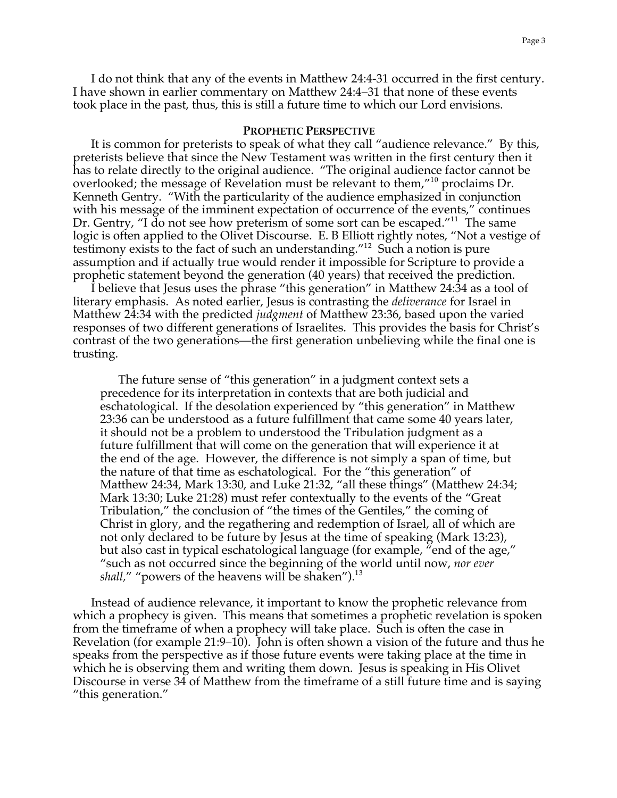I do not think that any of the events in Matthew 24:4-31 occurred in the first century. I have shown in earlier commentary on Matthew 24:4–31 that none of these events took place in the past, thus, this is still a future time to which our Lord envisions.

#### **PROPHETIC PERSPECTIVE**

It is common for preterists to speak of what they call "audience relevance." By this, preterists believe that since the New Testament was written in the first century then it has to relate directly to the original audience. "The original audience factor cannot be overlooked; the message of Revelation must be relevant to them,"<sup>10</sup> proclaims Dr. Kenneth Gentry. "With the particularity of the audience emphasized in conjunction with his message of the imminent expectation of occurrence of the events," continues Dr. Gentry, "I do not see how preterism of some sort can be escaped."<sup>11</sup> The same logic is often applied to the Olivet Discourse. E. B Elliott rightly notes, "Not a vestige of testimony exists to the fact of such an understanding."<sup>12</sup> Such a notion is pure assumption and if actually true would render it impossible for Scripture to provide a prophetic statement beyond the generation (40 years) that received the prediction.

I believe that Jesus uses the phrase "this generation" in Matthew 24:34 as a tool of literary emphasis. As noted earlier, Jesus is contrasting the *deliverance* for Israel in Matthew 24:34 with the predicted *judgment* of Matthew 23:36, based upon the varied responses of two different generations of Israelites. This provides the basis for Christ's contrast of the two generations—the first generation unbelieving while the final one is trusting.

The future sense of "this generation" in a judgment context sets a precedence for its interpretation in contexts that are both judicial and eschatological. If the desolation experienced by "this generation" in Matthew 23:36 can be understood as a future fulfillment that came some 40 years later, it should not be a problem to understood the Tribulation judgment as a future fulfillment that will come on the generation that will experience it at the end of the age. However, the difference is not simply a span of time, but the nature of that time as eschatological. For the "this generation" of Matthew 24:34, Mark 13:30, and Luke 21:32, "all these things" (Matthew 24:34; Mark 13:30; Luke 21:28) must refer contextually to the events of the "Great Tribulation," the conclusion of "the times of the Gentiles," the coming of Christ in glory, and the regathering and redemption of Israel, all of which are not only declared to be future by Jesus at the time of speaking (Mark 13:23), but also cast in typical eschatological language (for example, "end of the age," "such as not occurred since the beginning of the world until now, *nor ever* shall," "powers of the heavens will be shaken").<sup>13</sup>

Instead of audience relevance, it important to know the prophetic relevance from which a prophecy is given. This means that sometimes a prophetic revelation is spoken from the timeframe of when a prophecy will take place. Such is often the case in Revelation (for example 21:9–10). John is often shown a vision of the future and thus he speaks from the perspective as if those future events were taking place at the time in which he is observing them and writing them down. Jesus is speaking in His Olivet Discourse in verse 34 of Matthew from the timeframe of a still future time and is saying "this generation."